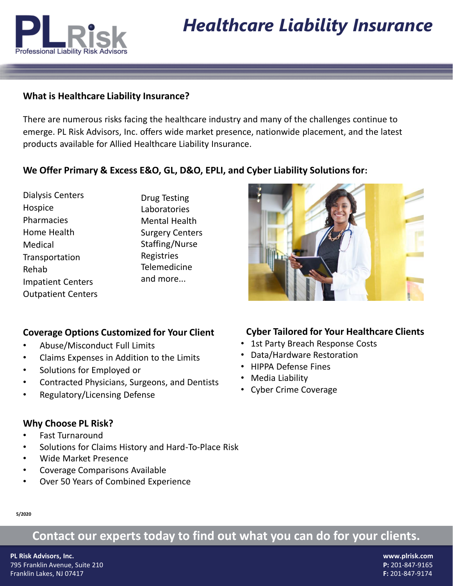

# *Healthcare Liability Insurance*

### **What is Healthcare Liability Insurance?**

There are numerous risks facing the healthcare industry and many of the challenges continue to emerge. PL Risk Advisors, Inc. offers wide market presence, nationwide placement, and the latest products available for Allied Healthcare Liability Insurance.

### **We Offer Primary & Excess E&O, GL, D&O, EPLI, and Cyber Liability Solutions for:**

Dialysis Centers Hospice Pharmacies Home Health Medical **Transportation** Rehab Impatient Centers Outpatient Centers Drug Testing Laboratories Mental Health Surgery Centers Staffing/Nurse Registries **Telemedicine** and more...

### **Coverage Options Customized for Your Client**

- Abuse/Misconduct Full Limits
- Claims Expenses in Addition to the Limits
- Solutions for Employed or
- Contracted Physicians, Surgeons, and Dentists
- Regulatory/Licensing Defense

### **Why Choose PL Risk?**

- Fast Turnaround
- Solutions for Claims History and Hard-To-Place Risk
- Wide Market Presence
- Coverage Comparisons Available
- Over 50 Years of Combined Experience

### **Cyber Tailored for Your Healthcare Clients**

- 1st Party Breach Response Costs
- Data/Hardware Restoration
- HIPPA Defense Fines
- Media Liability
- Cyber Crime Coverage

# **Contact our experts today to find out what you can do for your clients.**

**PL Risk Advisors, Inc. www.plrisk.com** 795 Franklin Avenue, Suite 210 **P:** 201-847-9165 Franklin Lakes, NJ 07417 **F:** 201-847-9174

**5/2020**